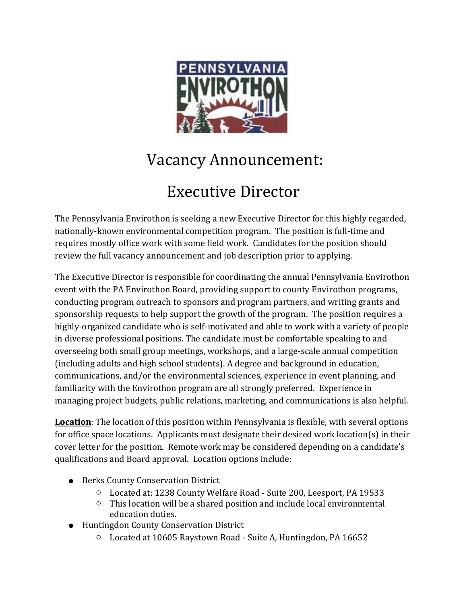

## Vacancy Announcement:

# Executive Director

The Pennsylvania Envirothon is seeking a new Executive Director for this highly regarded, nationally-known environmental competition program. The position is full-time and requires mostly office work with some field work. Candidates for the position should review the full vacancy announcement and job description prior to applying.

The Executive Director is responsible for coordinating the annual Pennsylvania Envirothon event with the PA Envirothon Board, providing support to county Envirothon programs, conducting program outreach to sponsors and program partners, and writing grants and sponsorship requests to help support the growth of the program. The position requires a highly-organized candidate who is self-motivated and able to work with a variety of people in diverse professional positions. The candidate must be comfortable speaking to and overseeing both small group meetings, workshops, and a large-scale annual competition (including adults and high school students). A degree and background in education, communications, and/or the environmental sciences, experience in event planning, and familiarity with the Envirothon program are all strongly preferred. Experience in managing project budgets, public relations, marketing, and communications is also helpful.

**Location**: The location of this position within Pennsylvania is flexible, with several options for office space locations. Applicants must designate their desired work location(s) in their cover letter for the position. Remote work may be considered depending on a candidate's qualifications and Board approval. Location options include:

- Berks County Conservation District
	- Located at: 1238 County Welfare Road Suite 200, Leesport, PA 19533
	- This location will be a shared position and include local environmental education duties.
- Huntingdon County Conservation District
	- Located at 10605 Raystown Road Suite A, Huntingdon, PA 16652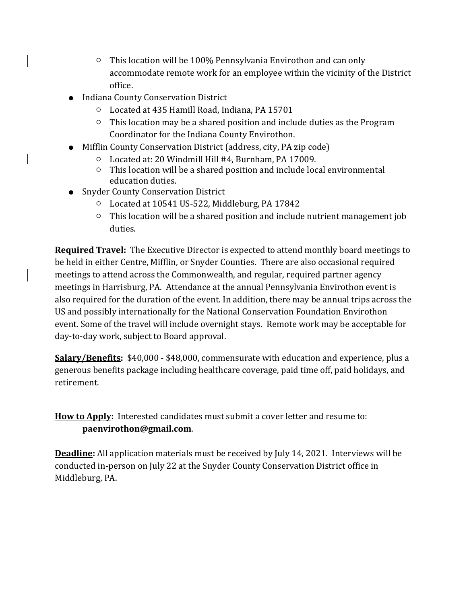- This location will be 100% Pennsylvania Envirothon and can only accommodate remote work for an employee within the vicinity of the District office.
- Indiana County Conservation District
	- Located at 435 Hamill Road, Indiana, PA 15701
	- This location may be a shared position and include duties as the Program Coordinator for the Indiana County Envirothon.
- Mifflin County Conservation District (address, city, PA zip code)
	- Located at: 20 Windmill Hill #4, Burnham, PA 17009.
	- This location will be a shared position and include local environmental education duties.
- Snyder County Conservation District
	- Located at 10541 US-522, Middleburg, PA 17842
	- This location will be a shared position and include nutrient management job duties.

**Required Travel:** The Executive Director is expected to attend monthly board meetings to be held in either Centre, Mifflin, or Snyder Counties. There are also occasional required meetings to attend across the Commonwealth, and regular, required partner agency meetings in Harrisburg, PA. Attendance at the annual Pennsylvania Envirothon event is also required for the duration of the event. In addition, there may be annual trips across the US and possibly internationally for the National Conservation Foundation Envirothon event. Some of the travel will include overnight stays. Remote work may be acceptable for day-to-day work, subject to Board approval.

**Salary/Benefits:** \$40,000 - \$48,000, commensurate with education and experience, plus a generous benefits package including healthcare coverage, paid time off, paid holidays, and retirement.

**How to Apply:** Interested candidates must submit a cover letter and resume to: **paenvirothon@gmail.com**.

**Deadline:** All application materials must be received by July 14, 2021. Interviews will be conducted in-person on July 22 at the Snyder County Conservation District office in Middleburg, PA.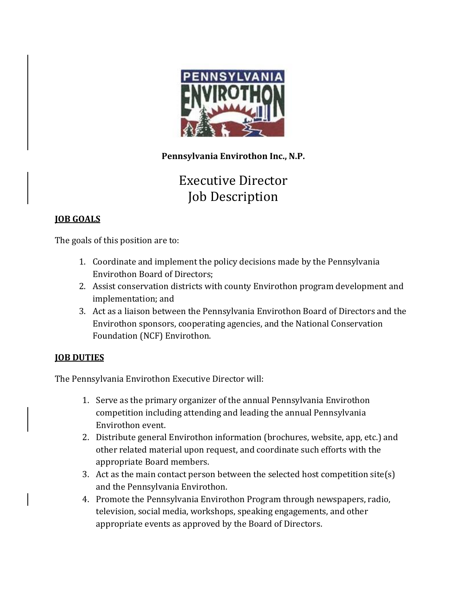

**Pennsylvania Envirothon Inc., N.P.**

### Executive Director Job Description

#### **JOB GOALS**

The goals of this position are to:

- 1. Coordinate and implement the policy decisions made by the Pennsylvania Envirothon Board of Directors;
- 2. Assist conservation districts with county Envirothon program development and implementation; and
- 3. Act as a liaison between the Pennsylvania Envirothon Board of Directors and the Envirothon sponsors, cooperating agencies, and the National Conservation Foundation (NCF) Envirothon.

#### **JOB DUTIES**

The Pennsylvania Envirothon Executive Director will:

- 1. Serve as the primary organizer of the annual Pennsylvania Envirothon competition including attending and leading the annual Pennsylvania Envirothon event.
- 2. Distribute general Envirothon information (brochures, website, app, etc.) and other related material upon request, and coordinate such efforts with the appropriate Board members.
- 3. Act as the main contact person between the selected host competition site(s) and the Pennsylvania Envirothon.
- 4. Promote the Pennsylvania Envirothon Program through newspapers, radio, television, social media, workshops, speaking engagements, and other appropriate events as approved by the Board of Directors.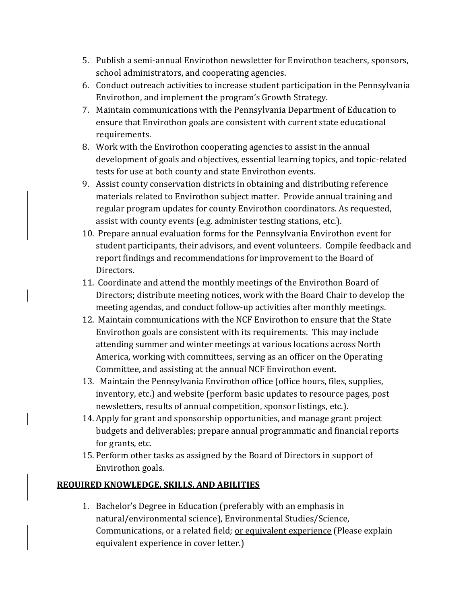- 5. Publish a semi-annual Envirothon newsletter for Envirothon teachers, sponsors, school administrators, and cooperating agencies.
- 6. Conduct outreach activities to increase student participation in the Pennsylvania Envirothon, and implement the program's Growth Strategy.
- 7. Maintain communications with the Pennsylvania Department of Education to ensure that Envirothon goals are consistent with current state educational requirements.
- 8. Work with the Envirothon cooperating agencies to assist in the annual development of goals and objectives, essential learning topics, and topic-related tests for use at both county and state Envirothon events.
- 9. Assist county conservation districts in obtaining and distributing reference materials related to Envirothon subject matter. Provide annual training and regular program updates for county Envirothon coordinators. As requested, assist with county events (e.g. administer testing stations, etc.).
- 10. Prepare annual evaluation forms for the Pennsylvania Envirothon event for student participants, their advisors, and event volunteers. Compile feedback and report findings and recommendations for improvement to the Board of Directors.
- 11. Coordinate and attend the monthly meetings of the Envirothon Board of Directors; distribute meeting notices, work with the Board Chair to develop the meeting agendas, and conduct follow-up activities after monthly meetings.
- 12. Maintain communications with the NCF Envirothon to ensure that the State Envirothon goals are consistent with its requirements. This may include attending summer and winter meetings at various locations across North America, working with committees, serving as an officer on the Operating Committee, and assisting at the annual NCF Envirothon event.
- 13. Maintain the Pennsylvania Envirothon office (office hours, files, supplies, inventory, etc.) and website (perform basic updates to resource pages, post newsletters, results of annual competition, sponsor listings, etc.).
- 14. Apply for grant and sponsorship opportunities, and manage grant project budgets and deliverables; prepare annual programmatic and financial reports for grants, etc.
- 15. Perform other tasks as assigned by the Board of Directors in support of Envirothon goals.

### **REQUIRED KNOWLEDGE, SKILLS, AND ABILITIES**

1. Bachelor's Degree in Education (preferably with an emphasis in natural/environmental science), Environmental Studies/Science, Communications, or a related field; or equivalent experience (Please explain equivalent experience in cover letter.)